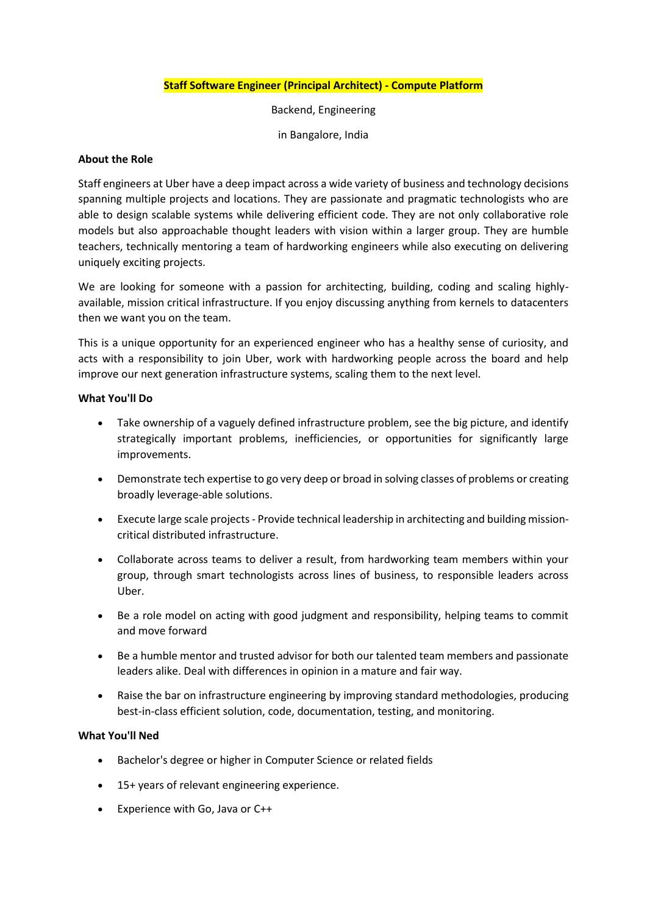# **Staff Software Engineer (Principal Architect) - Compute Platform**

Backend, Engineering

in Bangalore, India

#### **About the Role**

Staff engineers at Uber have a deep impact across a wide variety of business and technology decisions spanning multiple projects and locations. They are passionate and pragmatic technologists who are able to design scalable systems while delivering efficient code. They are not only collaborative role models but also approachable thought leaders with vision within a larger group. They are humble teachers, technically mentoring a team of hardworking engineers while also executing on delivering uniquely exciting projects.

We are looking for someone with a passion for architecting, building, coding and scaling highlyavailable, mission critical infrastructure. If you enjoy discussing anything from kernels to datacenters then we want you on the team.

This is a unique opportunity for an experienced engineer who has a healthy sense of curiosity, and acts with a responsibility to join Uber, work with hardworking people across the board and help improve our next generation infrastructure systems, scaling them to the next level.

# **What You'll Do**

- Take ownership of a vaguely defined infrastructure problem, see the big picture, and identify strategically important problems, inefficiencies, or opportunities for significantly large improvements.
- Demonstrate tech expertise to go very deep or broad in solving classes of problems or creating broadly leverage-able solutions.
- Execute large scale projects Provide technical leadership in architecting and building missioncritical distributed infrastructure.
- Collaborate across teams to deliver a result, from hardworking team members within your group, through smart technologists across lines of business, to responsible leaders across Uber.
- Be a role model on acting with good judgment and responsibility, helping teams to commit and move forward
- Be a humble mentor and trusted advisor for both our talented team members and passionate leaders alike. Deal with differences in opinion in a mature and fair way.
- Raise the bar on infrastructure engineering by improving standard methodologies, producing best-in-class efficient solution, code, documentation, testing, and monitoring.

### **What You'll Ned**

- Bachelor's degree or higher in Computer Science or related fields
- 15+ years of relevant engineering experience.
- Experience with Go, Java or C++